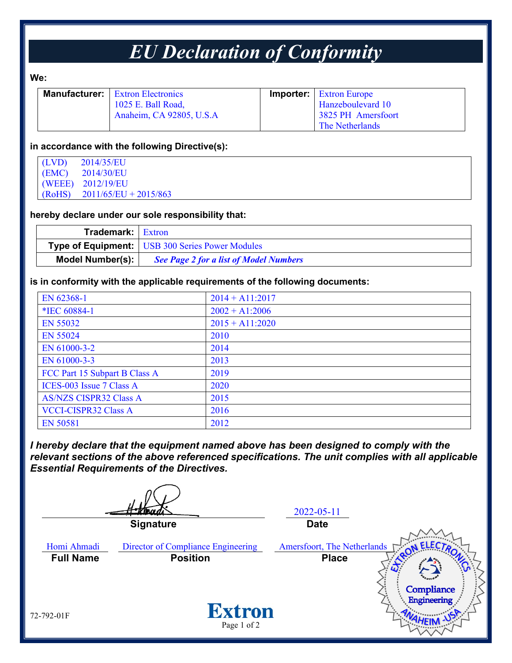## *EU Declaration of Conformity*

**We:** 

|  | <b>Manufacturer:</b>   Extron Electronics | <b>Importer:</b> Extron Europe |
|--|-------------------------------------------|--------------------------------|
|  | 1025 E. Ball Road,                        | Hanzeboulevard 10              |
|  | Anaheim, CA 92805, U.S.A                  | 3825 PH Amersfoort             |
|  |                                           | The Netherlands                |

#### **in accordance with the following Directive(s):**

| (LVD)  | 2014/35/EU              |
|--------|-------------------------|
| (EMC)  | 2014/30/EU              |
|        | (WEEE) 2012/19/EU       |
| (RoHS) | $2011/65/EU + 2015/863$ |

#### **hereby declare under our sole responsibility that:**

| <b>Trademark:</b> Extron |                                                        |
|--------------------------|--------------------------------------------------------|
|                          | <b>Type of Equipment:</b> USB 300 Series Power Modules |
| Model Number(s):         | <b>See Page 2 for a list of Model Numbers</b>          |

#### **is in conformity with the applicable requirements of the following documents:**

| EN 62368-1                    | $2014 + A11:2017$ |
|-------------------------------|-------------------|
| *IEC 60884-1                  | $2002 + A1:2006$  |
| EN 55032                      | $2015 + A11:2020$ |
| <b>EN 55024</b>               | 2010              |
| EN 61000-3-2                  | 2014              |
| EN 61000-3-3                  | 2013              |
| FCC Part 15 Subpart B Class A | 2019              |
| ICES-003 Issue 7 Class A      | 2020              |
| <b>AS/NZS CISPR32 Class A</b> | 2015              |
| <b>VCCI-CISPR32 Class A</b>   | 2016              |
| EN 50581                      | 2012              |

*I hereby declare that the equipment named above has been designed to comply with the relevant sections of the above referenced specifications. The unit complies with all applicable Essential Requirements of the Directives.*

2022-05-11 **Signature Date** Homi Ahmadi Director of Compliance Engineering Amersfoort, The Netherlands **Full Name Position Place**Compliance Engineering **Extron** 72-792-01F Page 1 of 2